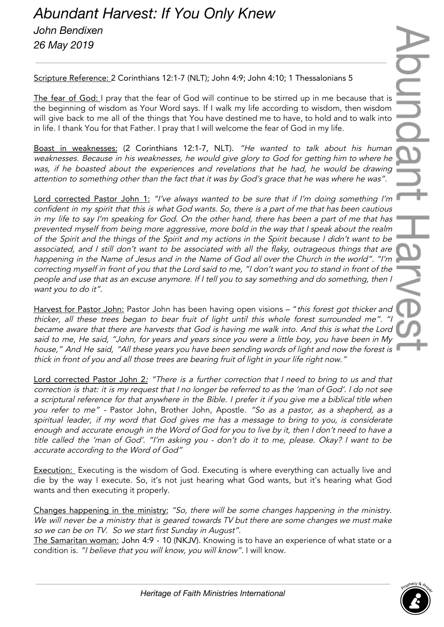## *Abundant Harvest: If You Only Knew John Bendixen 26 May 2019*

Scripture Reference: 2 Corinthians 12:1-7 (NLT); John 4:9; John 4:10; 1 Thessalonians 5

The fear of God: I pray that the fear of God will continue to be stirred up in me because that is the beginning of wisdom as Your Word says. If I walk my life according to wisdom, then wisdom will give back to me all of the things that You have destined me to have, to hold and to walk into in life. I thank You for that Father. I pray that I will welcome the fear of God in my life.

Boast in weaknesses: (2 Corinthians 12:1-7, NLT). "He wanted to talk about his human weaknesses. Because in his weaknesses, he would give glory to God for getting him to where he was, if he boasted about the experiences and revelations that he had, he would be drawing attention to something other than the fact that it was by God's grace that he was where he was".

Lord corrected Pastor John 1: "I've always wanted to be sure that if I'm doing something I'm confident in my spirit that this is what God wants. So, there is <sup>a</sup> part of me that has been cautious in my life to say I'm speaking for God. On the other hand, there has been <sup>a</sup> part of me that has prevented myself from being more aggressive, more bold in the way that <sup>I</sup> speak about the realm of the Spirit and the things of the Spirit and my actions in the Spirit because <sup>I</sup> didn't want to be associated, and I still don't want to be associated with all the flaky, outrageous things that are happening in the Name of Jesus and in the Name of God all over the Church in the world". "I'm correcting myself in front of you that the Lord said to me, "I don't want you to stand in front of the people and use that as an excuse anymore. If <sup>I</sup> tell you to say something and do something, then <sup>I</sup> want you to do it".

Harvest for Pastor John: Pastor John has been having open visions - "this forest got thicker and thicker, all these trees began to bear fruit of light until this whole forest surrounded me". "I became aware that there are harvests that God is having me walk into. And this is what the Lord said to me, He said, "John, for years and years since you were <sup>a</sup> little boy, you have been in My house," And He said, "All these years you have been sending words of light and now the forest is thick in front of you and all those trees are bearing fruit of light in your life right now."

Lord corrected Pastor John 2: "There is a further correction that I need to bring to us and that correction is that: it is my request that <sup>I</sup> no longer be referred to as the 'man of God'. <sup>I</sup> do not see <sup>a</sup> scriptural reference for that anywhere in the Bible. <sup>I</sup> prefer it if you <sup>g</sup>ive me <sup>a</sup> biblical title when you refer to me" - Pastor John, Brother John, Apostle. "So as <sup>a</sup> pastor, as <sup>a</sup> shepherd, as <sup>a</sup> spiritual leader, if my word that God <sup>g</sup>ives me has <sup>a</sup> message to bring to you, is considerate enough and accurate enough in the Word of God for you to live by it, then I don't need to have <sup>a</sup> title called the 'man of God'. "I'm asking you - don't do it to me, please. Okay? <sup>I</sup> want to be accurate according to the Word of God"

**Execution:** Executing is the wisdom of God. Executing is where everything can actually live and die by the way I execute. So, it's not just hearing what God wants, but it's hearing what God wants and then executing it properly.

Changes happening in the ministry: "So, there will be some changes happening in the ministry. We will never be a ministry that is geared towards TV but there are some changes we must make so we can be on TV. So we start first Sunday in August".

The Samaritan woman: John 4:9 - 10 (NKJV). Knowing is to have an experience of what state or a condition is. "I believe that you will know, you will know". I will know.